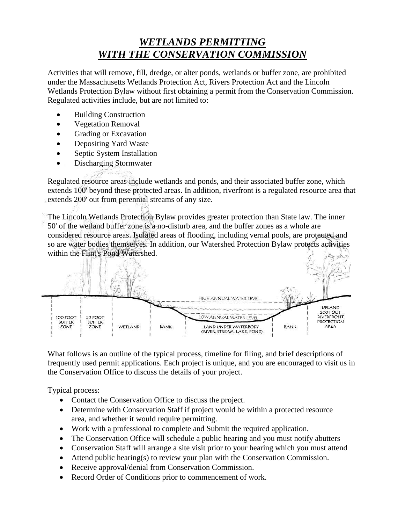## *WETLANDS PERMITTING WITH THE CONSERVATION COMMISSION*

Activities that will remove, fill, dredge, or alter ponds, wetlands or buffer zone, are prohibited under the Massachusetts Wetlands Protection Act, Rivers Protection Act and the Lincoln Wetlands Protection Bylaw without first obtaining a permit from the Conservation Commission. Regulated activities include, but are not limited to:

- Building Construction
- Vegetation Removal
- Grading or Excavation
- Depositing Yard Waste
- Septic System Installation
- Discharging Stormwater

Regulated resource areas include wetlands and ponds, and their associated buffer zone, which extends 100' beyond these protected areas. In addition, riverfront is a regulated resource area that extends 200' out from perennial streams of any size.

The Lincoln Wetlands Protection Bylaw provides greater protection than State law. The inner 50' of the wetland buffer zone is a no-disturb area, and the buffer zones as a whole are considered resource areas. Isolated areas of flooding, including vernal pools, are protected and so are water bodies themselves. In addition, our Watershed Protection Bylaw protects activities within the Flint's Pond Watershed.



What follows is an outline of the typical process, timeline for filing, and brief descriptions of frequently used permit applications. Each project is unique, and you are encouraged to visit us in the Conservation Office to discuss the details of your project.

Typical process:

- Contact the Conservation Office to discuss the project.
- Determine with Conservation Staff if project would be within a protected resource area, and whether it would require permitting.
- Work with a professional to complete and Submit the required application.
- The Conservation Office will schedule a public hearing and you must notify abutters
- Conservation Staff will arrange a site visit prior to your hearing which you must attend
- Attend public hearing(s) to review your plan with the Conservation Commission.
- Receive approval/denial from Conservation Commission.
- Record Order of Conditions prior to commencement of work.